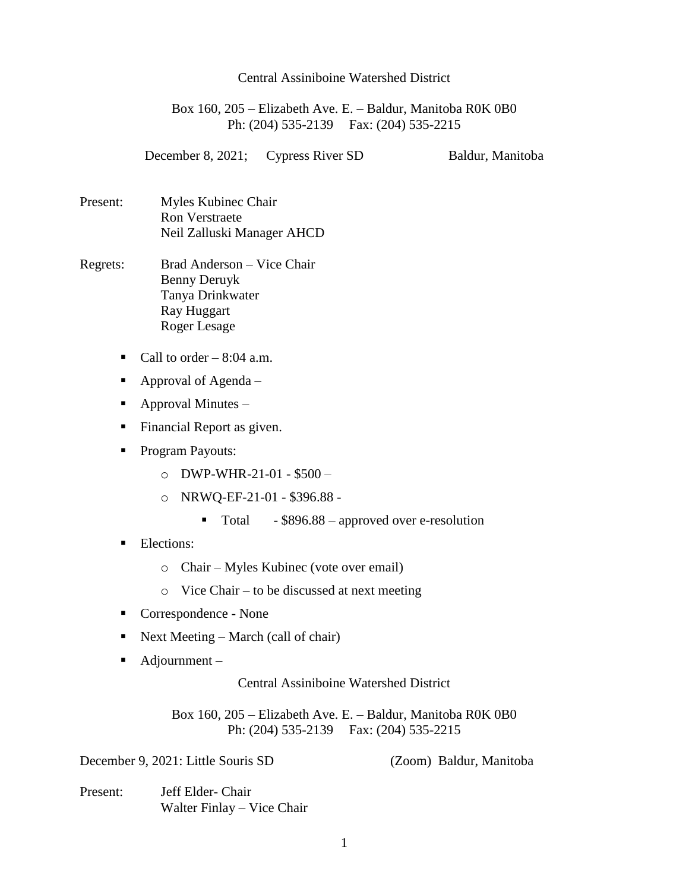## Central Assiniboine Watershed District

Box 160, 205 – Elizabeth Ave. E. – Baldur, Manitoba R0K 0B0 Ph: (204) 535-2139 Fax: (204) 535-2215

December 8, 2021; Cypress River SD Baldur, Manitoba

- Present: Myles Kubinec Chair Ron Verstraete Neil Zalluski Manager AHCD
- Regrets: Brad Anderson Vice Chair Benny Deruyk Tanya Drinkwater Ray Huggart Roger Lesage
	- Call to order  $-8:04$  a.m.
	- Approval of Agenda –
	- $\blacksquare$  Approval Minutes –
	- **Financial Report as given.**
	- Program Payouts:
		- o DWP-WHR-21-01 \$500 –
		- o NRWQ-EF-21-01 \$396.88
			- $\blacksquare$  Total \$896.88 approved over e-resolution
	- **Elections:** 
		- o Chair Myles Kubinec (vote over email)
		- o Vice Chair to be discussed at next meeting
	- Correspondence None
	- Next Meeting March (call of chair)
	- $\blacksquare$  Adjournment –

## Central Assiniboine Watershed District

Box 160, 205 – Elizabeth Ave. E. – Baldur, Manitoba R0K 0B0 Ph: (204) 535-2139 Fax: (204) 535-2215

December 9, 2021: Little Souris SD (Zoom) Baldur, Manitoba

Present: Jeff Elder- Chair Walter Finlay – Vice Chair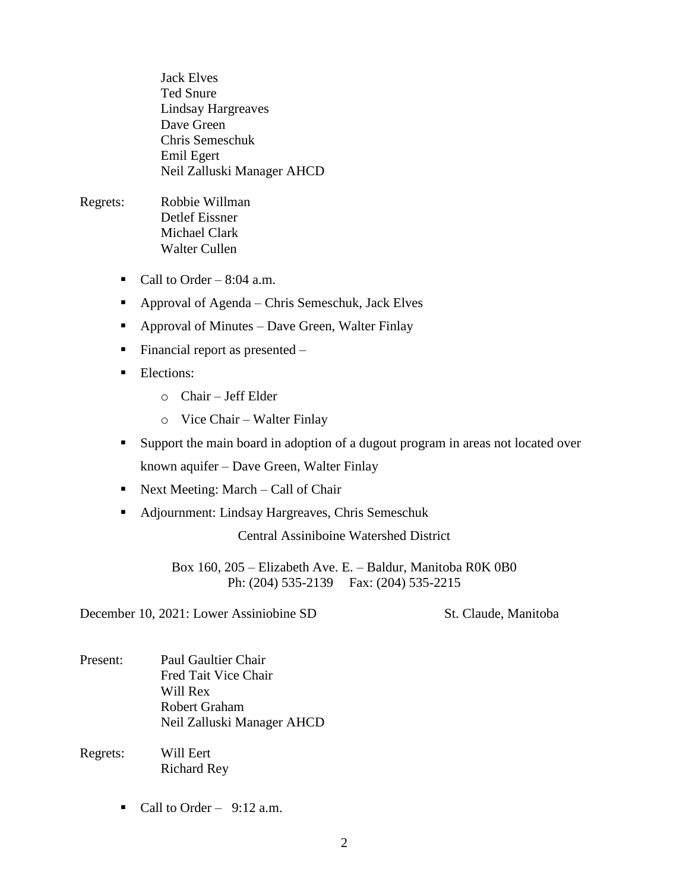Jack Elves Ted Snure Lindsay Hargreaves Dave Green Chris Semeschuk Emil Egert Neil Zalluski Manager AHCD

- Regrets: Robbie Willman Detlef Eissner Michael Clark Walter Cullen
	- Call to Order  $8:04$  a.m.
	- Approval of Agenda Chris Semeschuk, Jack Elves
	- Approval of Minutes Dave Green, Walter Finlay
	- Financial report as presented  $-$
	- **Elections:** 
		- o Chair Jeff Elder
		- o Vice Chair Walter Finlay
	- Support the main board in adoption of a dugout program in areas not located over

known aquifer – Dave Green, Walter Finlay

- Next Meeting: March Call of Chair
- Adjournment: Lindsay Hargreaves, Chris Semeschuk

Central Assiniboine Watershed District

Box 160, 205 – Elizabeth Ave. E. – Baldur, Manitoba R0K 0B0 Ph: (204) 535-2139 Fax: (204) 535-2215

December 10, 2021: Lower Assiniobine SD St. Claude, Manitoba

- Present: Paul Gaultier Chair Fred Tait Vice Chair Will Rex Robert Graham Neil Zalluski Manager AHCD
- Regrets: Will Eert Richard Rey
	- Call to Order  $9:12$  a.m.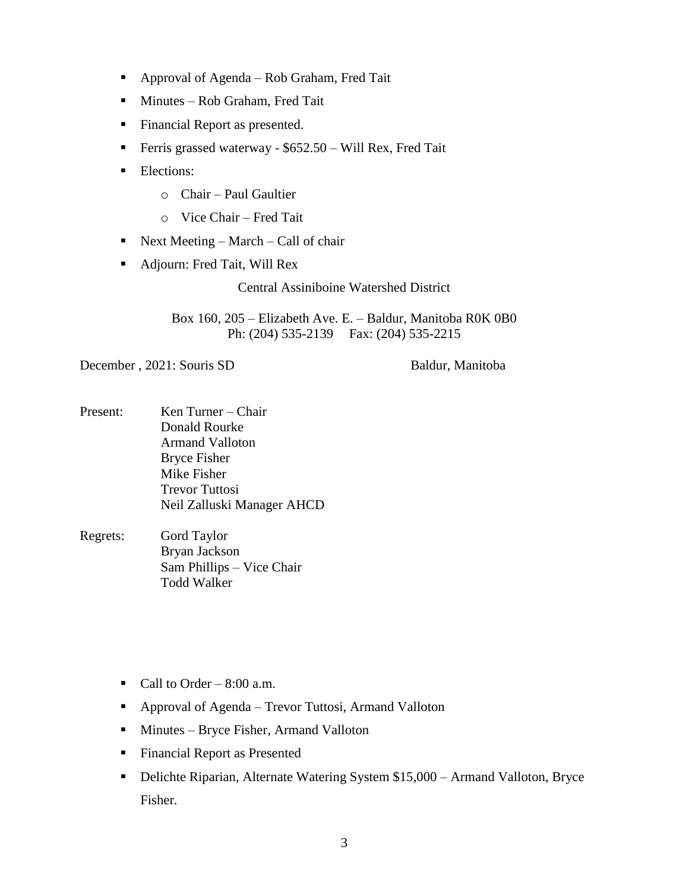- Approval of Agenda Rob Graham, Fred Tait
- **Minutes Rob Graham, Fred Tait**
- **Financial Report as presented.**
- **Ferris grassed waterway \$652.50 Will Rex, Fred Tait**
- **Elections:** 
	- o Chair Paul Gaultier
	- o Vice Chair Fred Tait
- Next Meeting March Call of chair
- Adjourn: Fred Tait, Will Rex

Central Assiniboine Watershed District

Box 160, 205 – Elizabeth Ave. E. – Baldur, Manitoba R0K 0B0 Ph: (204) 535-2139 Fax: (204) 535-2215

December , 2021: Souris SD Baldur, Manitoba

- Present: Ken Turner Chair Donald Rourke Armand Valloton Bryce Fisher Mike Fisher Trevor Tuttosi Neil Zalluski Manager AHCD
- Regrets: Gord Taylor Bryan Jackson Sam Phillips – Vice Chair Todd Walker
	- Call to Order  $8:00$  a.m.
	- Approval of Agenda Trevor Tuttosi, Armand Valloton
	- Minutes Bryce Fisher, Armand Valloton
	- **Financial Report as Presented**
	- Delichte Riparian, Alternate Watering System \$15,000 Armand Valloton, Bryce Fisher.